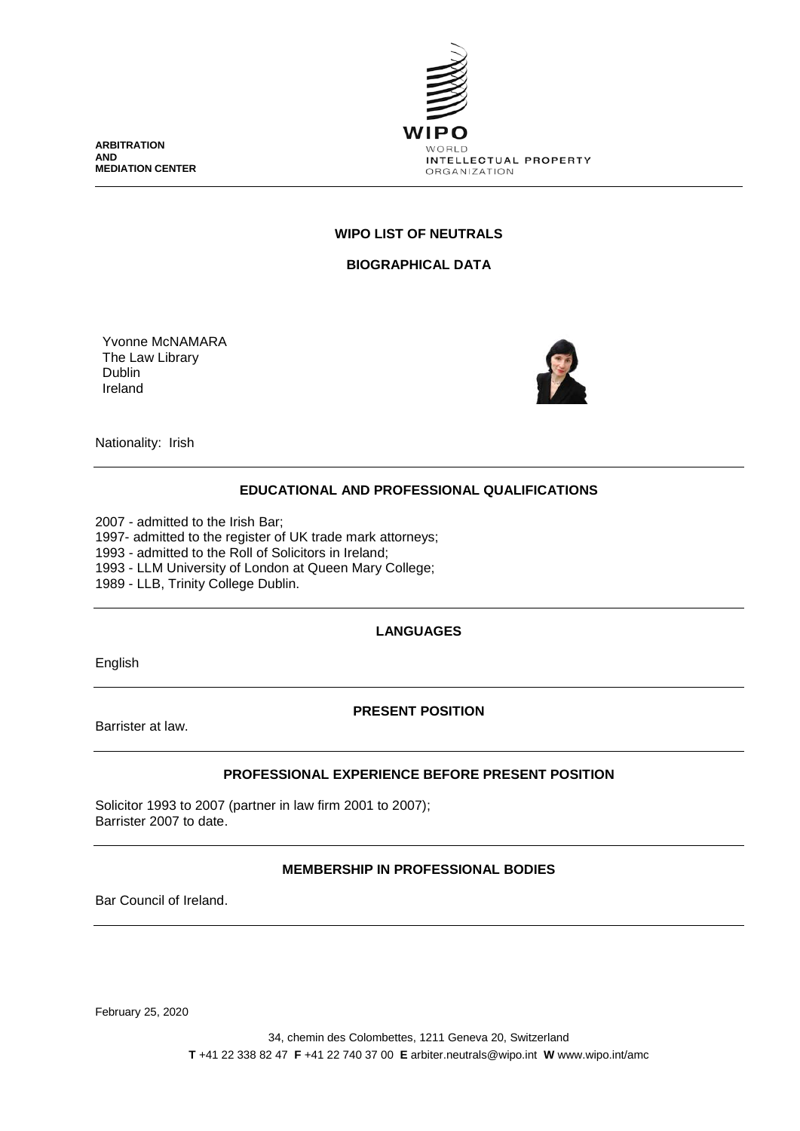**ARBITRATION AND MEDIATION CENTER**



## **WIPO LIST OF NEUTRALS**

**BIOGRAPHICAL DATA**

Yvonne McNAMARA The Law Library Dublin Ireland



Nationality: Irish

# **EDUCATIONAL AND PROFESSIONAL QUALIFICATIONS**

2007 - admitted to the Irish Bar; 1997- admitted to the register of UK trade mark attorneys; 1993 - admitted to the Roll of Solicitors in Ireland; 1993 - LLM University of London at Queen Mary College; 1989 - LLB, Trinity College Dublin.

# **LANGUAGES**

English

### **PRESENT POSITION**

Barrister at law.

### **PROFESSIONAL EXPERIENCE BEFORE PRESENT POSITION**

Solicitor 1993 to 2007 (partner in law firm 2001 to 2007); Barrister 2007 to date.

### **MEMBERSHIP IN PROFESSIONAL BODIES**

Bar Council of Ireland.

February 25, 2020